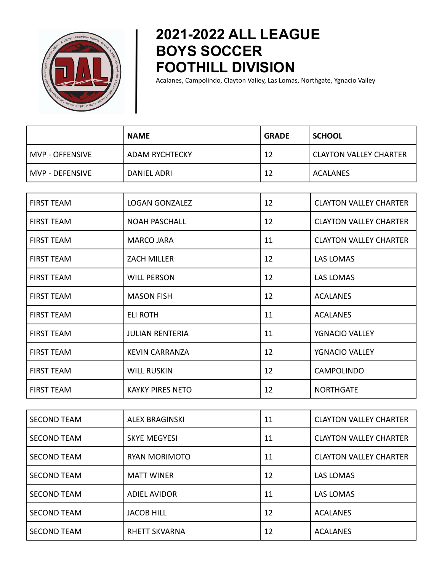

## **2021-2022 ALL LEAGUE BOYS SOCCER FOOTHILL DIVISION**

Acalanes, Campolindo, Clayton Valley, Las Lomas, Northgate, Ygnacio Valley

|                   | <b>NAME</b>           | <b>GRADE</b> | <b>SCHOOL</b>          |
|-------------------|-----------------------|--------------|------------------------|
| MVP - OFFENSIVE   | <b>ADAM RYCHTECKY</b> | 12           | CLAYTON VALLEY CHARTER |
| l MVP - DEFENSIVE | DANIEL ADRI           | 12           | ACALANES               |

| <b>FIRST TEAM</b> | <b>LOGAN GONZALEZ</b>   | 12 | <b>CLAYTON VALLEY CHARTER</b> |
|-------------------|-------------------------|----|-------------------------------|
| <b>FIRST TEAM</b> | <b>NOAH PASCHALL</b>    | 12 | <b>CLAYTON VALLEY CHARTER</b> |
| <b>FIRST TEAM</b> | <b>MARCO JARA</b>       | 11 | <b>CLAYTON VALLEY CHARTER</b> |
| <b>FIRST TEAM</b> | <b>ZACH MILLER</b>      | 12 | LAS LOMAS                     |
| <b>FIRST TEAM</b> | <b>WILL PERSON</b>      | 12 | <b>LAS LOMAS</b>              |
| <b>FIRST TEAM</b> | <b>MASON FISH</b>       | 12 | <b>ACALANES</b>               |
| <b>FIRST TEAM</b> | <b>ELI ROTH</b>         | 11 | <b>ACALANES</b>               |
| <b>FIRST TEAM</b> | <b>JULIAN RENTERIA</b>  | 11 | YGNACIO VALLEY                |
| <b>FIRST TEAM</b> | <b>KEVIN CARRANZA</b>   | 12 | YGNACIO VALLEY                |
| <b>FIRST TEAM</b> | <b>WILL RUSKIN</b>      | 12 | <b>CAMPOLINDO</b>             |
| <b>FIRST TEAM</b> | <b>KAYKY PIRES NETO</b> | 12 | <b>NORTHGATE</b>              |

| <b>SECOND TEAM</b> | <b>ALEX BRAGINSKI</b> | 11 | <b>CLAYTON VALLEY CHARTER</b> |
|--------------------|-----------------------|----|-------------------------------|
| <b>SECOND TEAM</b> | <b>SKYE MEGYESI</b>   | 11 | <b>CLAYTON VALLEY CHARTER</b> |
| <b>SECOND TEAM</b> | <b>RYAN MORIMOTO</b>  | 11 | <b>CLAYTON VALLEY CHARTER</b> |
| <b>SECOND TEAM</b> | <b>MATT WINER</b>     | 12 | <b>LAS LOMAS</b>              |
| <b>SECOND TEAM</b> | <b>ADIEL AVIDOR</b>   | 11 | <b>LAS LOMAS</b>              |
| <b>SECOND TEAM</b> | <b>JACOB HILL</b>     | 12 | <b>ACALANES</b>               |
| <b>SECOND TEAM</b> | <b>RHETT SKVARNA</b>  | 12 | <b>ACALANES</b>               |